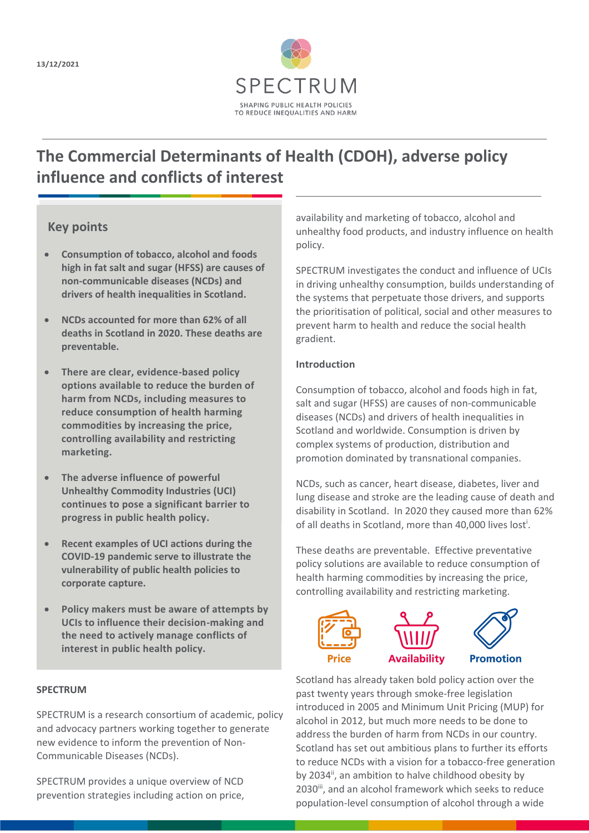

# **The Commercial Determinants of Health (CDOH), adverse policy influence and conflicts of interest**

## **Key points**

- **Consumption of tobacco, alcohol and foods high in fat salt and sugar (HFSS) are causes of non-communicable diseases (NCDs) and drivers of health inequalities in Scotland.**
- **NCDs accounted for more than 62% of all deaths in Scotland in 2020. These deaths are preventable.**
- **There are clear, evidence-based policy options available to reduce the burden of harm from NCDs, including measures to reduce consumption of health harming commodities by increasing the price, controlling availability and restricting marketing.**
- **The adverse influence of powerful Unhealthy Commodity Industries (UCI) continues to pose a significant barrier to progress in public health policy.**
- **Recent examples of UCI actions during the COVID-19 pandemic serve to illustrate the vulnerability of public health policies to corporate capture.**
- **Policy makers must be aware of attempts by UCIs to influence their decision-making and the need to actively manage conflicts of interest in public health policy.**

#### **SPECTRUM**

SPECTRUM is a research consortium of academic, policy and advocacy partners working together to generate new evidence to inform the prevention of Non-Communicable Diseases (NCDs).

SPECTRUM provides a unique overview of NCD prevention strategies including action on price,

availability and marketing of tobacco, alcohol and unhealthy food products, and industry influence on health policy.

SPECTRUM investigates the conduct and influence of UCIs in driving unhealthy consumption, builds understanding of the systems that perpetuate those drivers, and supports the prioritisation of political, social and other measures to prevent harm to health and reduce the social health gradient.

#### **Introduction**

Consumption of tobacco, alcohol and foods high in fat, salt and sugar (HFSS) are causes of non-communicable diseases (NCDs) and drivers of health inequalities in Scotland and worldwide. Consumption is driven by complex systems of production, distribution and promotion dominated by transnational companies.

NCDs, such as cancer, heart disease, diabetes, liver and lung disease and stroke are the leading cause of death and disability in Scotland. In 2020 they caused more than 62% of all deaths in Scotland, more than 40,000 lives lost<sup>i</sup>.

These deaths are preventable. Effective preventative policy solutions are available to reduce consumption of health harming commodities by increasing the price, controlling availability and restricting marketing.



Scotland has already taken bold policy action over the past twenty years through smoke-free legislation introduced in 2005 and Minimum Unit Pricing (MUP) for alcohol in 2012, but much more needs to be done to address the burden of harm from NCDs in our country. Scotland has set out ambitious plans to further its efforts to reduce NCDs with a vision for a tobacco-free generation by 2034<sup>ii</sup>, an ambition to halve childhood obesity by 2030<sup>iii</sup>, and an alcohol framework which seeks to reduce population-level consumption of alcohol through a wide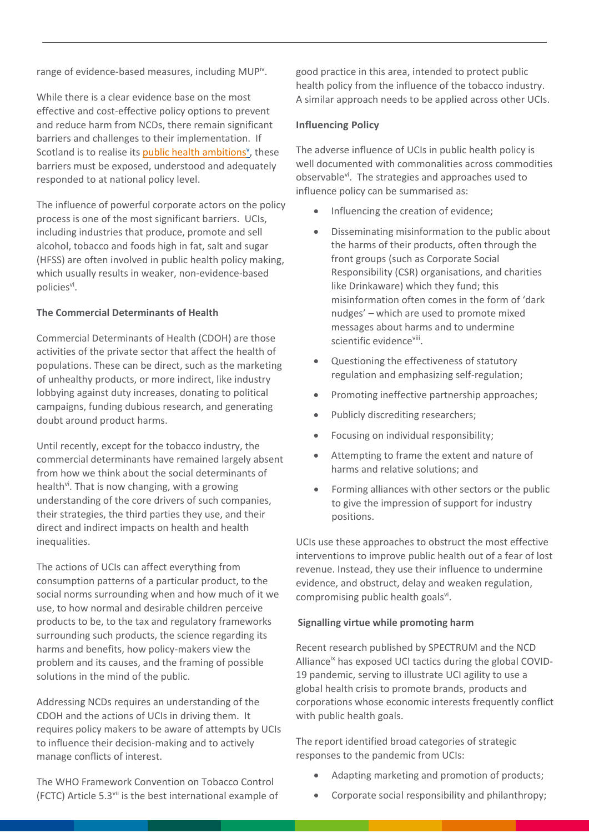range of evidence-based measures, including MUP<sup>iv</sup>.

While there is a clear evidence base on the most effective and cost-effective policy options to prevent and reduce harm from NCDs, there remain significant barriers and challenges to their implementation. If Scotland is to realise its **public health ambitions**<sup>v</sup>, these barriers must be exposed, understood and adequately responded to at national policy level.

The influence of powerful corporate actors on the policy process is one of the most significant barriers. UCIs, including industries that produce, promote and sell alcohol, tobacco and foods high in fat, salt and sugar (HFSS) are often involved in public health policy making, which usually results in weaker, non-evidence-based policiesvi.

#### **The Commercial Determinants of Health**

Commercial Determinants of Health (CDOH) are those activities of the private sector that affect the health of populations. These can be direct, such as the marketing of unhealthy products, or more indirect, like industry lobbying against duty increases, donating to political campaigns, funding dubious research, and generating doubt around product harms.

Until recently, except for the tobacco industry, the commercial determinants have remained largely absent from how we think about the social determinants of health<sup>vi</sup>. That is now changing, with a growing understanding of the core drivers of such companies, their strategies, the third parties they use, and their direct and indirect impacts on health and health inequalities.

The actions of UCIs can affect everything from consumption patterns of a particular product, to the social norms surrounding when and how much of it we use, to how normal and desirable children perceive products to be, to the tax and regulatory frameworks surrounding such products, the science regarding its harms and benefits, how policy-makers view the problem and its causes, and the framing of possible solutions in the mind of the public.

Addressing NCDs requires an understanding of the CDOH and the actions of UCIs in driving them. It requires policy makers to be aware of attempts by UCIs to influence their decision-making and to actively manage conflicts of interest.

The WHO Framework Convention on Tobacco Control (FCTC) Article 5.3vii is the best international example of

good practice in this area, intended to protect public health policy from the influence of the tobacco industry. A similar approach needs to be applied across other UCIs.

### **Influencing Policy**

The adverse influence of UCIs in public health policy is well documented with commonalities across commodities observable<sup>vi</sup>. The strategies and approaches used to influence policy can be summarised as:

- Influencing the creation of evidence;
- Disseminating misinformation to the public about the harms of their products, often through the front groups (such as Corporate Social Responsibility (CSR) organisations, and charities like Drinkaware) which they fund; this misinformation often comes in the form of 'dark nudges' – which are used to promote mixed messages about harms and to undermine scientific evidenceviii.
- Questioning the effectiveness of statutory regulation and emphasizing self-regulation;
- Promoting ineffective partnership approaches;
- Publicly discrediting researchers;
- Focusing on individual responsibility;
- Attempting to frame the extent and nature of harms and relative solutions; and
- Forming alliances with other sectors or the public to give the impression of support for industry positions.

UCIs use these approaches to obstruct the most effective interventions to improve public health out of a fear of lost revenue. Instead, they use their influence to undermine evidence, and obstruct, delay and weaken regulation, compromising public health goalsvi.

#### **Signalling virtue while promoting harm**

Recent research published by SPECTRUM and the NCD Alliance<sup>ix</sup> has exposed UCI tactics during the global COVID-19 pandemic, serving to illustrate UCI agility to use a global health crisis to promote brands, products and corporations whose economic interests frequently conflict with public health goals.

The report identified broad categories of strategic responses to the pandemic from UCIs:

- Adapting marketing and promotion of products;
- Corporate social responsibility and philanthropy;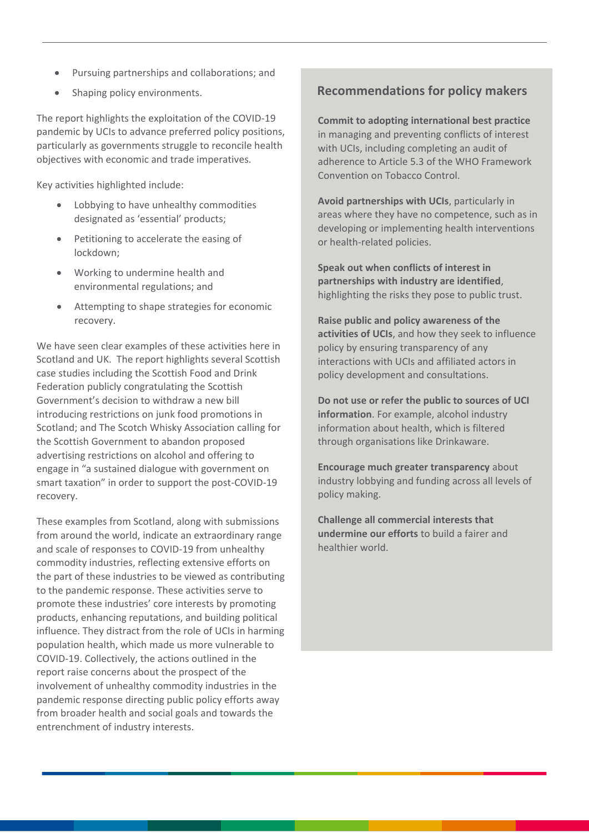- Pursuing partnerships and collaborations; and
- Shaping policy environments.

The report highlights the exploitation of the COVID-19 pandemic by UCIs to advance preferred policy positions, particularly as governments struggle to reconcile health objectives with economic and trade imperatives.

Key activities highlighted include:

- Lobbying to have unhealthy commodities designated as 'essential' products;
- Petitioning to accelerate the easing of lockdown;
- Working to undermine health and environmental regulations; and
- Attempting to shape strategies for economic recovery.

We have seen clear examples of these activities here in Scotland and UK. The report highlights several Scottish case studies including the Scottish Food and Drink Federation publicly congratulating the Scottish Government's decision to withdraw a new bill introducing restrictions on junk food promotions in Scotland; and The Scotch Whisky Association calling for the Scottish Government to abandon proposed advertising restrictions on alcohol and offering to engage in "a sustained dialogue with government on smart taxation" in order to support the post-COVID-19 recovery.

These examples from Scotland, along with submissions from around the world, indicate an extraordinary range and scale of responses to COVID-19 from unhealthy commodity industries, reflecting extensive efforts on the part of these industries to be viewed as contributing to the pandemic response. These activities serve to promote these industries' core interests by promoting products, enhancing reputations, and building political influence. They distract from the role of UCIs in harming population health, which made us more vulnerable to COVID-19. Collectively, the actions outlined in the report raise concerns about the prospect of the involvement of unhealthy commodity industries in the pandemic response directing public policy efforts away from broader health and social goals and towards the entrenchment of industry interests.

## **Recommendations for policy makers**

**Commit to adopting international best practice** in managing and preventing conflicts of interest with UCIs, including completing an audit of adherence to Article 5.3 of the WHO Framework Convention on Tobacco Control.

**Avoid partnerships with UCIs**, particularly in areas where they have no competence, such as in developing or implementing health interventions or health-related policies.

**Speak out when conflicts of interest in partnerships with industry are identified**, highlighting the risks they pose to public trust.

**Raise public and policy awareness of the activities of UCIs**, and how they seek to influence policy by ensuring transparency of any interactions with UCIs and affiliated actors in policy development and consultations.

**Do not use or refer the public to sources of UCI information**. For example, alcohol industry information about health, which is filtered through organisations like Drinkaware.

**Encourage much greater transparency** about industry lobbying and funding across all levels of policy making.

**Challenge all commercial interests that undermine our efforts** to build a fairer and healthier world.